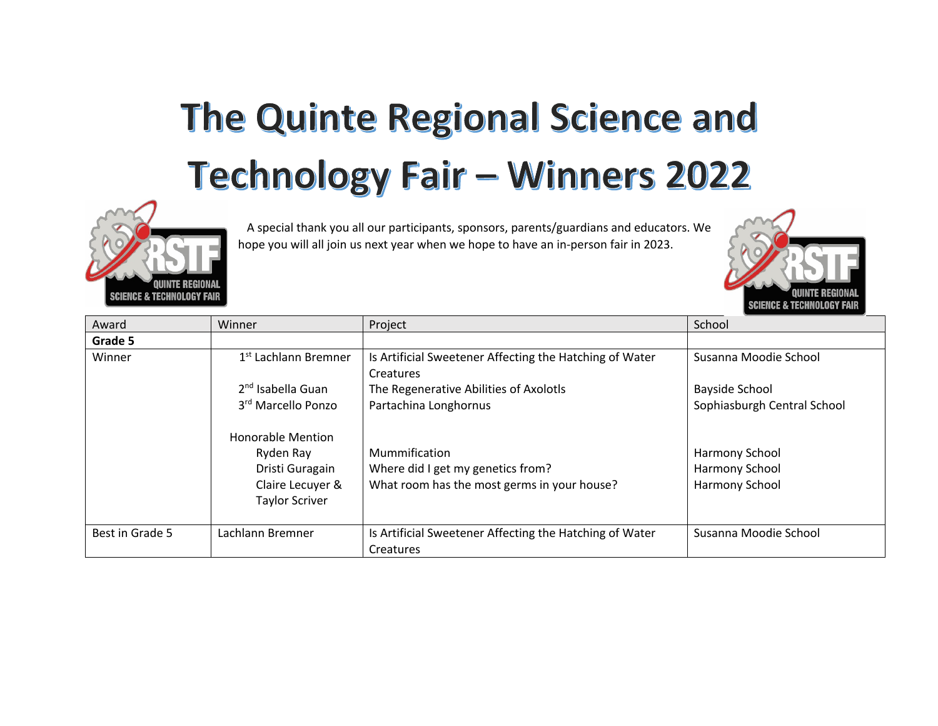## The Quinte Regional Science and **Technology Fair - Winners 2022**



 A special thank you all our participants, sponsors, parents/guardians and educators. We hope you will all join us next year when we hope to have an in-person fair in 2023.



| Award           | Winner                           | Project                                                 | School                      |
|-----------------|----------------------------------|---------------------------------------------------------|-----------------------------|
| Grade 5         |                                  |                                                         |                             |
| Winner          | 1 <sup>st</sup> Lachlann Bremner | Is Artificial Sweetener Affecting the Hatching of Water | Susanna Moodie School       |
|                 |                                  | <b>Creatures</b>                                        |                             |
|                 | 2 <sup>nd</sup> Isabella Guan    | The Regenerative Abilities of Axolotls                  | <b>Bayside School</b>       |
|                 | 3rd Marcello Ponzo               | Partachina Longhornus                                   | Sophiasburgh Central School |
|                 | <b>Honorable Mention</b>         |                                                         |                             |
|                 | Ryden Ray                        | Mummification                                           | Harmony School              |
|                 | Dristi Guragain                  | Where did I get my genetics from?                       | Harmony School              |
|                 | Claire Lecuyer &                 | What room has the most germs in your house?             | Harmony School              |
|                 | <b>Taylor Scriver</b>            |                                                         |                             |
|                 |                                  |                                                         |                             |
| Best in Grade 5 | Lachlann Bremner                 | Is Artificial Sweetener Affecting the Hatching of Water | Susanna Moodie School       |
|                 |                                  | Creatures                                               |                             |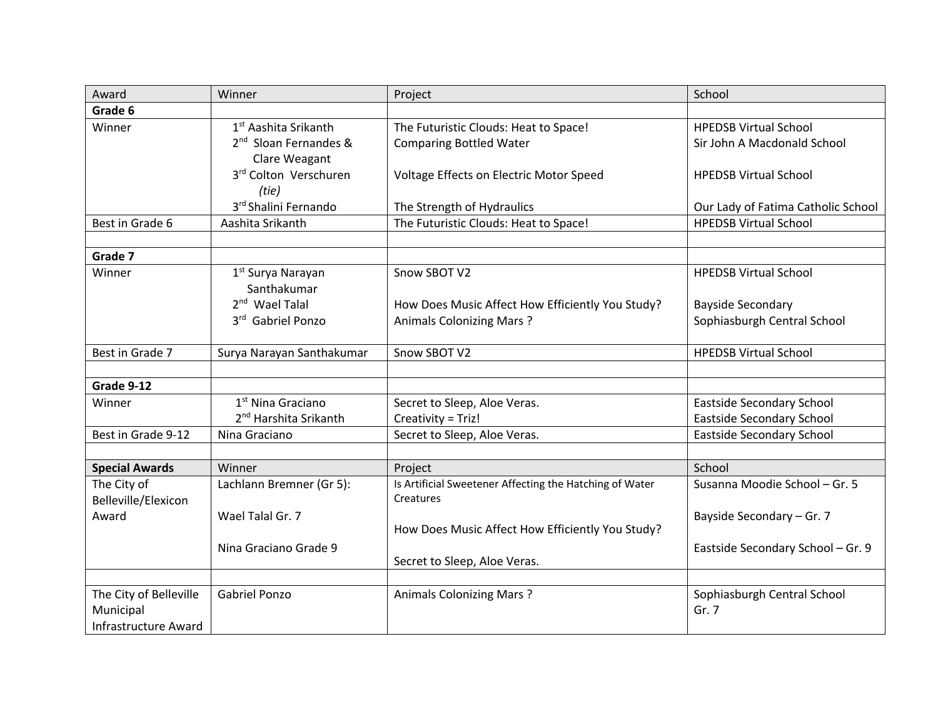| Award                              | Winner                            | Project                                                            | School                             |
|------------------------------------|-----------------------------------|--------------------------------------------------------------------|------------------------------------|
| Grade 6                            |                                   |                                                                    |                                    |
| Winner                             | 1 <sup>st</sup> Aashita Srikanth  | The Futuristic Clouds: Heat to Space!                              | <b>HPEDSB Virtual School</b>       |
|                                    | 2 <sup>nd</sup> Sloan Fernandes & | <b>Comparing Bottled Water</b>                                     | Sir John A Macdonald School        |
|                                    | Clare Weagant                     |                                                                    |                                    |
|                                    | 3rd Colton Verschuren             | Voltage Effects on Electric Motor Speed                            | <b>HPEDSB Virtual School</b>       |
|                                    | (tie)                             |                                                                    |                                    |
|                                    | 3rd Shalini Fernando              | The Strength of Hydraulics                                         | Our Lady of Fatima Catholic School |
| Best in Grade 6                    | Aashita Srikanth                  | The Futuristic Clouds: Heat to Space!                              | <b>HPEDSB Virtual School</b>       |
|                                    |                                   |                                                                    |                                    |
| Grade 7                            |                                   |                                                                    |                                    |
| Winner                             | 1 <sup>st</sup> Surya Narayan     | Snow SBOT V2                                                       | <b>HPEDSB Virtual School</b>       |
|                                    | Santhakumar                       |                                                                    |                                    |
|                                    | 2 <sup>nd</sup> Wael Talal        | How Does Music Affect How Efficiently You Study?                   | <b>Bayside Secondary</b>           |
|                                    | 3rd Gabriel Ponzo                 | <b>Animals Colonizing Mars?</b>                                    | Sophiasburgh Central School        |
|                                    |                                   |                                                                    |                                    |
| Best in Grade 7                    | Surya Narayan Santhakumar         | Snow SBOT V2                                                       | <b>HPEDSB Virtual School</b>       |
|                                    |                                   |                                                                    |                                    |
| Grade 9-12                         |                                   |                                                                    |                                    |
| Winner                             | 1 <sup>st</sup> Nina Graciano     | Secret to Sleep, Aloe Veras.                                       | Eastside Secondary School          |
|                                    | 2 <sup>nd</sup> Harshita Srikanth | Creativity = Triz!                                                 | Eastside Secondary School          |
| Best in Grade 9-12                 | Nina Graciano                     | Secret to Sleep, Aloe Veras.                                       | <b>Eastside Secondary School</b>   |
| <b>Special Awards</b>              | Winner                            |                                                                    | School                             |
|                                    |                                   | Project<br>Is Artificial Sweetener Affecting the Hatching of Water |                                    |
| The City of<br>Belleville/Elexicon | Lachlann Bremner (Gr 5):          | Creatures                                                          | Susanna Moodie School - Gr. 5      |
| Award                              | Wael Talal Gr. 7                  |                                                                    |                                    |
|                                    |                                   | How Does Music Affect How Efficiently You Study?                   | Bayside Secondary - Gr. 7          |
|                                    | Nina Graciano Grade 9             |                                                                    | Eastside Secondary School - Gr. 9  |
|                                    |                                   | Secret to Sleep, Aloe Veras.                                       |                                    |
|                                    |                                   |                                                                    |                                    |
| The City of Belleville             | <b>Gabriel Ponzo</b>              | <b>Animals Colonizing Mars?</b>                                    | Sophiasburgh Central School        |
| Municipal                          |                                   |                                                                    | Gr. 7                              |
| <b>Infrastructure Award</b>        |                                   |                                                                    |                                    |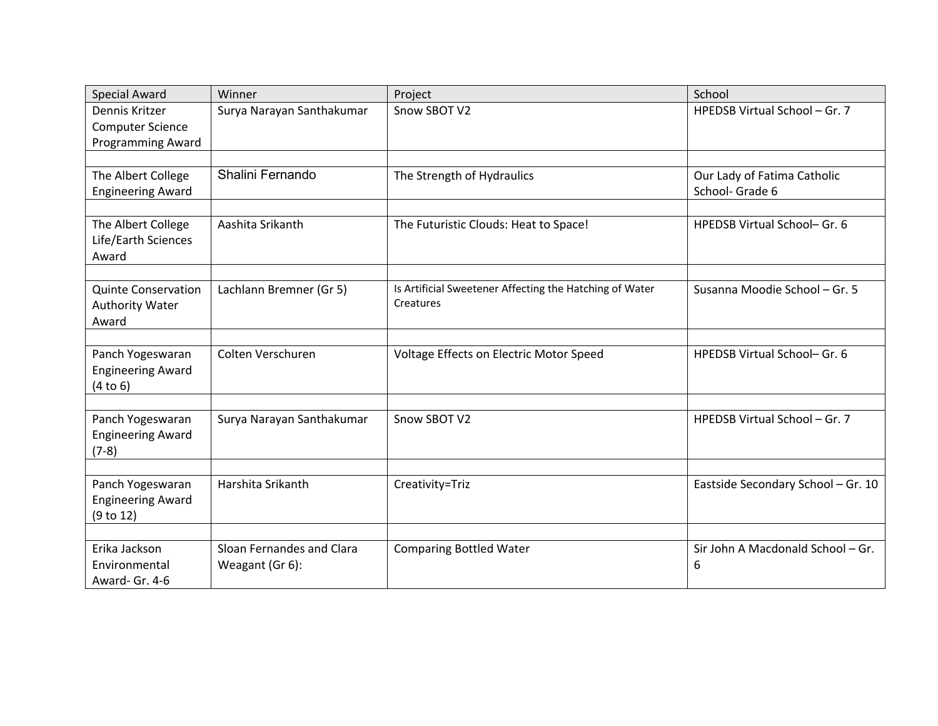| <b>Special Award</b>                                                  | Winner                                       | Project                                                              | School                                         |
|-----------------------------------------------------------------------|----------------------------------------------|----------------------------------------------------------------------|------------------------------------------------|
| Dennis Kritzer<br><b>Computer Science</b><br><b>Programming Award</b> | Surya Narayan Santhakumar                    | Snow SBOT V2                                                         | HPEDSB Virtual School - Gr. 7                  |
|                                                                       |                                              |                                                                      |                                                |
| The Albert College<br><b>Engineering Award</b>                        | Shalini Fernando                             | The Strength of Hydraulics                                           | Our Lady of Fatima Catholic<br>School- Grade 6 |
|                                                                       |                                              |                                                                      |                                                |
| The Albert College<br>Life/Earth Sciences<br>Award                    | Aashita Srikanth                             | The Futuristic Clouds: Heat to Space!                                | HPEDSB Virtual School- Gr. 6                   |
|                                                                       |                                              |                                                                      |                                                |
| <b>Quinte Conservation</b><br><b>Authority Water</b><br>Award         | Lachlann Bremner (Gr 5)                      | Is Artificial Sweetener Affecting the Hatching of Water<br>Creatures | Susanna Moodie School - Gr. 5                  |
|                                                                       |                                              |                                                                      |                                                |
| Panch Yogeswaran<br><b>Engineering Award</b><br>(4 to 6)              | Colten Verschuren                            | Voltage Effects on Electric Motor Speed                              | HPEDSB Virtual School- Gr. 6                   |
|                                                                       |                                              |                                                                      |                                                |
| Panch Yogeswaran<br><b>Engineering Award</b><br>$(7-8)$               | Surya Narayan Santhakumar                    | Snow SBOT V2                                                         | HPEDSB Virtual School - Gr. 7                  |
|                                                                       |                                              |                                                                      |                                                |
| Panch Yogeswaran<br><b>Engineering Award</b><br>(9 to 12)             | Harshita Srikanth                            | Creativity=Triz                                                      | Eastside Secondary School - Gr. 10             |
|                                                                       |                                              |                                                                      |                                                |
| Erika Jackson<br>Environmental<br>Award- Gr. 4-6                      | Sloan Fernandes and Clara<br>Weagant (Gr 6): | <b>Comparing Bottled Water</b>                                       | Sir John A Macdonald School - Gr.<br>6         |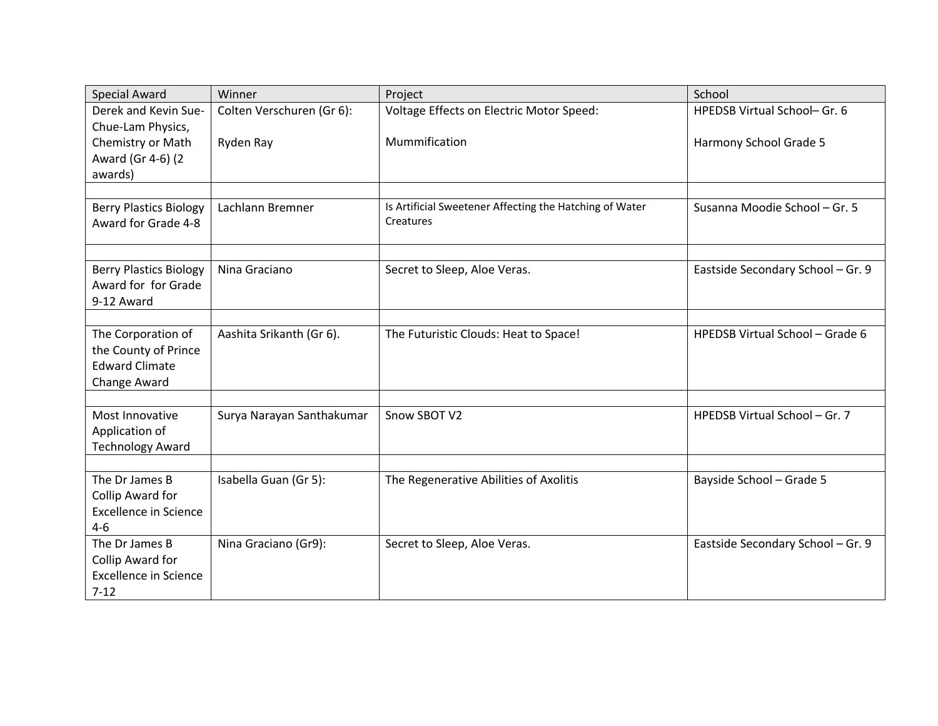| <b>Special Award</b>               | Winner                    | Project                                                 | School                            |
|------------------------------------|---------------------------|---------------------------------------------------------|-----------------------------------|
| Derek and Kevin Sue-               | Colten Verschuren (Gr 6): | Voltage Effects on Electric Motor Speed:                | HPEDSB Virtual School- Gr. 6      |
| Chue-Lam Physics,                  |                           |                                                         |                                   |
| Chemistry or Math                  | Ryden Ray                 | Mummification                                           | Harmony School Grade 5            |
| Award (Gr 4-6) (2                  |                           |                                                         |                                   |
| awards)                            |                           |                                                         |                                   |
| <b>Berry Plastics Biology</b>      | Lachlann Bremner          | Is Artificial Sweetener Affecting the Hatching of Water | Susanna Moodie School - Gr. 5     |
| Award for Grade 4-8                |                           | Creatures                                               |                                   |
|                                    |                           |                                                         |                                   |
|                                    |                           |                                                         |                                   |
| <b>Berry Plastics Biology</b>      | Nina Graciano             | Secret to Sleep, Aloe Veras.                            | Eastside Secondary School - Gr. 9 |
| Award for for Grade                |                           |                                                         |                                   |
| 9-12 Award                         |                           |                                                         |                                   |
| The Corporation of                 | Aashita Srikanth (Gr 6).  | The Futuristic Clouds: Heat to Space!                   | HPEDSB Virtual School - Grade 6   |
| the County of Prince               |                           |                                                         |                                   |
| <b>Edward Climate</b>              |                           |                                                         |                                   |
| Change Award                       |                           |                                                         |                                   |
|                                    |                           |                                                         |                                   |
| Most Innovative                    | Surya Narayan Santhakumar | Snow SBOT V2                                            | HPEDSB Virtual School - Gr. 7     |
| Application of                     |                           |                                                         |                                   |
| <b>Technology Award</b>            |                           |                                                         |                                   |
|                                    |                           |                                                         |                                   |
| The Dr James B<br>Collip Award for | Isabella Guan (Gr 5):     | The Regenerative Abilities of Axolitis                  | Bayside School - Grade 5          |
| <b>Excellence in Science</b>       |                           |                                                         |                                   |
| $4 - 6$                            |                           |                                                         |                                   |
| The Dr James B                     | Nina Graciano (Gr9):      | Secret to Sleep, Aloe Veras.                            | Eastside Secondary School - Gr. 9 |
| Collip Award for                   |                           |                                                         |                                   |
| <b>Excellence in Science</b>       |                           |                                                         |                                   |
| $7 - 12$                           |                           |                                                         |                                   |